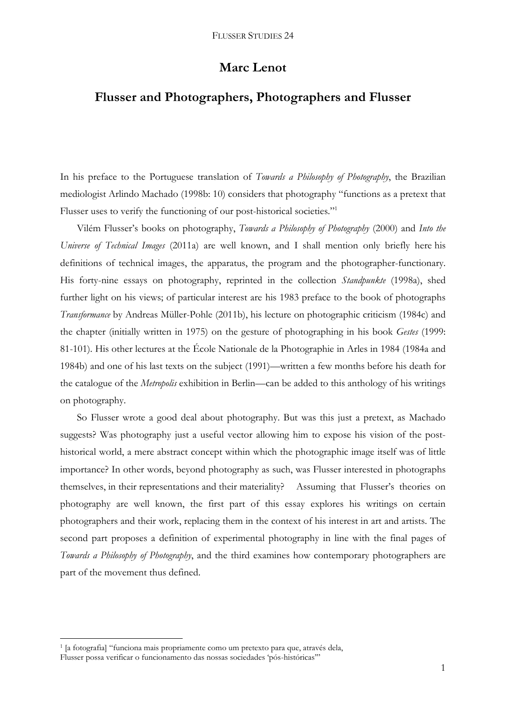# **Marc Lenot**

# **Flusser and Photographers, Photographers and Flusser**

In his preface to the Portuguese translation of *Towards a Philosophy of Photography*, the Brazilian mediologist Arlindo Machado (1998b: 10) considers that photography "functions as a pretext that Flusser uses to verify the functioning of our post-historical societies."<sup>1</sup>

Vilém Flusser's books on photography, *Towards a Philosophy of Photography* (2000) and *Into the Universe of Technical Images* (2011a) are well known, and I shall mention only briefly here his definitions of technical images, the apparatus, the program and the photographer-functionary. His forty-nine essays on photography, reprinted in the collection *Standpunkte* (1998a), shed further light on his views; of particular interest are his 1983 preface to the book of photographs *Transformance* by Andreas Müller-Pohle (2011b), his lecture on photographic criticism (1984c) and the chapter (initially written in 1975) on the gesture of photographing in his book *Gestes* (1999: 81-101). His other lectures at the École Nationale de la Photographie in Arles in 1984 (1984a and 1984b) and one of his last texts on the subject (1991)—written a few months before his death for the catalogue of the *Metropolis* exhibition in Berlin—can be added to this anthology of his writings on photography.

So Flusser wrote a good deal about photography. But was this just a pretext, as Machado suggests? Was photography just a useful vector allowing him to expose his vision of the posthistorical world, a mere abstract concept within which the photographic image itself was of little importance? In other words, beyond photography as such, was Flusser interested in photographs themselves, in their representations and their materiality? Assuming that Flusser's theories on photography are well known, the first part of this essay explores his writings on certain photographers and their work, replacing them in the context of his interest in art and artists. The second part proposes a definition of experimental photography in line with the final pages of *Towards a Philosophy of Photography*, and the third examines how contemporary photographers are part of the movement thus defined.

 1 [a fotografia] "funciona mais propriamente como um pretexto para que, através dela, Flusser possa verificar o funcionamento das nossas sociedades 'pós-históricas'"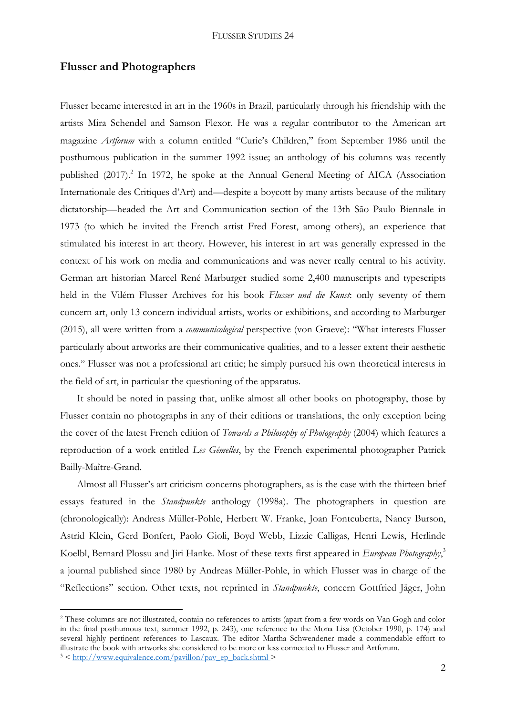### **Flusser and Photographers**

Flusser became interested in art in the 1960s in Brazil, particularly through his friendship with the artists Mira Schendel and Samson Flexor. He was a regular contributor to the American art magazine *Artforum* with a column entitled "Curie's Children," from September 1986 until the posthumous publication in the summer 1992 issue; an anthology of his columns was recently published (2017).<sup>2</sup> In 1972, he spoke at the Annual General Meeting of AICA (Association Internationale des Critiques d'Art) and—despite a boycott by many artists because of the military dictatorship—headed the Art and Communication section of the 13th São Paulo Biennale in 1973 (to which he invited the French artist Fred Forest, among others), an experience that stimulated his interest in art theory. However, his interest in art was generally expressed in the context of his work on media and communications and was never really central to his activity. German art historian Marcel René Marburger studied some 2,400 manuscripts and typescripts held in the Vilém Flusser Archives for his book *Flusser und die Kunst*: only seventy of them concern art, only 13 concern individual artists, works or exhibitions, and according to Marburger (2015), all were written from a *communicological* perspective (von Graeve): "What interests Flusser particularly about artworks are their communicative qualities, and to a lesser extent their aesthetic ones." Flusser was not a professional art critic; he simply pursued his own theoretical interests in the field of art, in particular the questioning of the apparatus.

It should be noted in passing that, unlike almost all other books on photography, those by Flusser contain no photographs in any of their editions or translations, the only exception being the cover of the latest French edition of *Towards a Philosophy of Photography* (2004) which features a reproduction of a work entitled *Les Gémelles*, by the French experimental photographer Patrick Bailly-Maître-Grand.

Almost all Flusser's art criticism concerns photographers, as is the case with the thirteen brief essays featured in the *Standpunkte* anthology (1998a). The photographers in question are (chronologically): Andreas Müller-Pohle, Herbert W. Franke, Joan Fontcuberta, Nancy Burson, Astrid Klein, Gerd Bonfert, Paolo Gioli, Boyd Webb, Lizzie Calligas, Henri Lewis, Herlinde Koelbl, Bernard Plossu and Jiri Hanke. Most of these texts first appeared in *European Photography*, 3 a journal published since 1980 by Andreas Müller-Pohle, in which Flusser was in charge of the "Reflections" section. Other texts, not reprinted in *Standpunkte*, concern Gottfried Jäger, John

<sup>2</sup> These columns are not illustrated, contain no references to artists (apart from a few words on Van Gogh and color in the final posthumous text, summer 1992, p. 243), one reference to the Mona Lisa (October 1990, p. 174) and several highly pertinent references to Lascaux. The editor Martha Schwendener made a commendable effort to illustrate the book with artworks she considered to be more or less connected to Flusser and Artforum.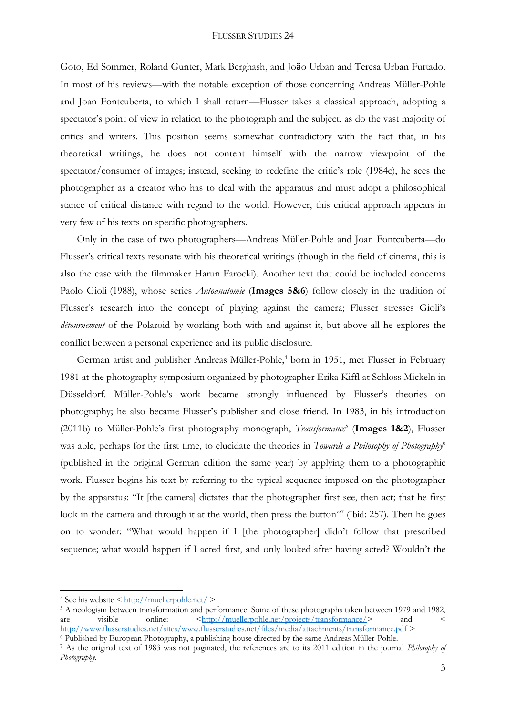Goto, Ed Sommer, Roland Gunter, Mark Berghash, and João Urban and Teresa Urban Furtado. In most of his reviews—with the notable exception of those concerning Andreas Müller-Pohle and Joan Fontcuberta, to which I shall return—Flusser takes a classical approach, adopting a spectator's point of view in relation to the photograph and the subject, as do the vast majority of critics and writers. This position seems somewhat contradictory with the fact that, in his theoretical writings, he does not content himself with the narrow viewpoint of the spectator/consumer of images; instead, seeking to redefine the critic's role (1984c), he sees the photographer as a creator who has to deal with the apparatus and must adopt a philosophical stance of critical distance with regard to the world. However, this critical approach appears in very few of his texts on specific photographers.

Only in the case of two photographers—Andreas Müller-Pohle and Joan Fontcuberta—do Flusser's critical texts resonate with his theoretical writings (though in the field of cinema, this is also the case with the filmmaker Harun Farocki). Another text that could be included concerns Paolo Gioli (1988), whose series *Autoanatomie* (**Images 5&6**) follow closely in the tradition of Flusser's research into the concept of playing against the camera; Flusser stresses Gioli's *détournement* of the Polaroid by working both with and against it, but above all he explores the conflict between a personal experience and its public disclosure.

German artist and publisher Andreas Müller-Pohle, <sup>4</sup> born in 1951, met Flusser in February 1981 at the photography symposium organized by photographer Erika Kiffl at Schloss Mickeln in Düsseldorf. Müller-Pohle's work became strongly influenced by Flusser's theories on photography; he also became Flusser's publisher and close friend. In 1983, in his introduction (2011b) to Müller-Pohle's first photography monograph, *Transformance*<sup>5</sup> (Images 1&2), Flusser was able, perhaps for the first time, to elucidate the theories in *Towards a Philosophy of Photography*<sup>6</sup> (published in the original German edition the same year) by applying them to a photographic work. Flusser begins his text by referring to the typical sequence imposed on the photographer by the apparatus: "It [the camera] dictates that the photographer first see, then act; that he first look in the camera and through it at the world, then press the button"<sup>7</sup> (Ibid: 257). Then he goes on to wonder: "What would happen if I [the photographer] didn't follow that prescribed sequence; what would happen if I acted first, and only looked after having acted? Wouldn't the

**.** 

<sup>4</sup> See his website <<http://muellerpohle.net/> >

<sup>&</sup>lt;sup>5</sup> A neologism between transformation and performance. Some of these photographs taken between 1979 and 1982, are visible online:  $\frac{\text{http://muellerpohle.net/projects/transfer} \cdot \text{anof}}{\text{and}}$ are visible online:  $\langle \frac{\text{http://muellerpohle.net/projects/transfer} \text{mance}} \rangle$  and  $\langle$ <http://www.flusserstudies.net/sites/www.flusserstudies.net/files/media/attachments/transformance.pdf> >

<sup>6</sup> Published by European Photography, a publishing house directed by the same Andreas Müller-Pohle.

<sup>7</sup> As the original text of 1983 was not paginated, the references are to its 2011 edition in the journal *Philosophy of Photography.*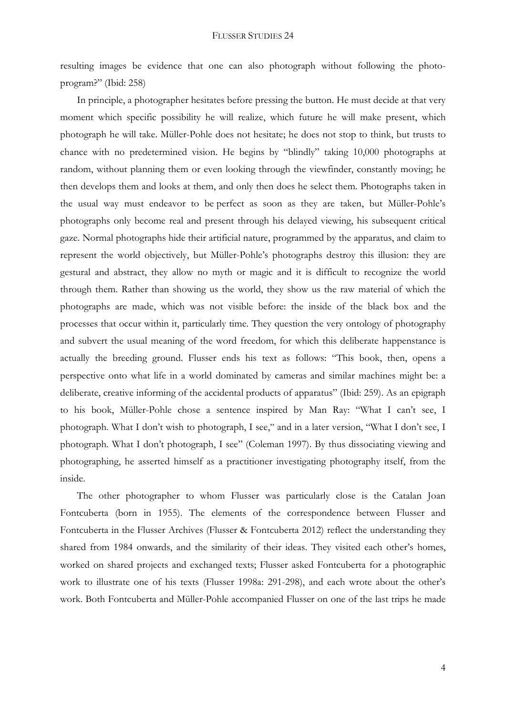resulting images be evidence that one can also photograph without following the photoprogram?" (Ibid: 258)

In principle, a photographer hesitates before pressing the button. He must decide at that very moment which specific possibility he will realize, which future he will make present, which photograph he will take. Müller-Pohle does not hesitate; he does not stop to think, but trusts to chance with no predetermined vision. He begins by "blindly" taking 10,000 photographs at random, without planning them or even looking through the viewfinder, constantly moving; he then develops them and looks at them, and only then does he select them. Photographs taken in the usual way must endeavor to be perfect as soon as they are taken, but Müller-Pohle's photographs only become real and present through his delayed viewing, his subsequent critical gaze. Normal photographs hide their artificial nature, programmed by the apparatus, and claim to represent the world objectively, but Müller-Pohle's photographs destroy this illusion: they are gestural and abstract, they allow no myth or magic and it is difficult to recognize the world through them. Rather than showing us the world, they show us the raw material of which the photographs are made, which was not visible before: the inside of the black box and the processes that occur within it, particularly time. They question the very ontology of photography and subvert the usual meaning of the word freedom, for which this deliberate happenstance is actually the breeding ground. Flusser ends his text as follows: "This book, then, opens a perspective onto what life in a world dominated by cameras and similar machines might be: a deliberate, creative informing of the accidental products of apparatus" (Ibid: 259). As an epigraph to his book, Müller-Pohle chose a sentence inspired by Man Ray: "What I can't see, I photograph. What I don't wish to photograph, I see," and in a later version, "What I don't see, I photograph. What I don't photograph, I see" (Coleman 1997). By thus dissociating viewing and photographing, he asserted himself as a practitioner investigating photography itself, from the inside.

The other photographer to whom Flusser was particularly close is the Catalan Joan Fontcuberta (born in 1955). The elements of the correspondence between Flusser and Fontcuberta in the Flusser Archives (Flusser & Fontcuberta 2012) reflect the understanding they shared from 1984 onwards, and the similarity of their ideas. They visited each other's homes, worked on shared projects and exchanged texts; Flusser asked Fontcuberta for a photographic work to illustrate one of his texts (Flusser 1998a: 291-298), and each wrote about the other's work. Both Fontcuberta and Müller-Pohle accompanied Flusser on one of the last trips he made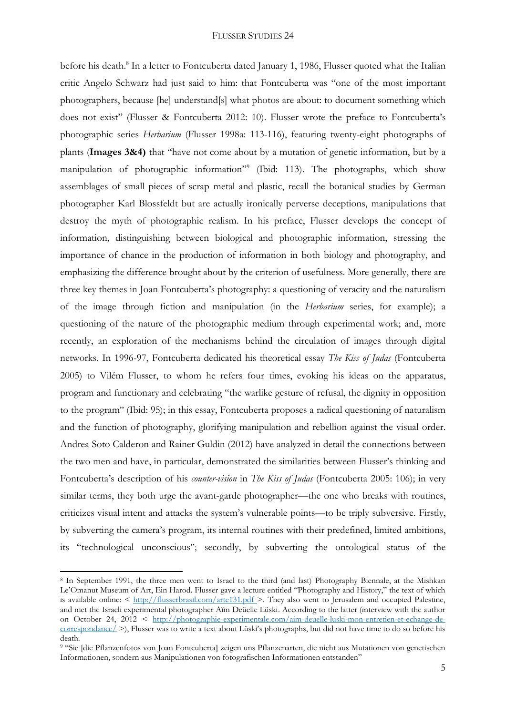before his death.<sup>8</sup> In a letter to Fontcuberta dated January 1, 1986, Flusser quoted what the Italian critic Angelo Schwarz had just said to him: that Fontcuberta was "one of the most important photographers, because [he] understand[s] what photos are about: to document something which does not exist" (Flusser & Fontcuberta 2012: 10). Flusser wrote the preface to Fontcuberta's photographic series *Herbarium* (Flusser 1998a: 113-116), featuring twenty-eight photographs of plants (**Images 3&4)** that "have not come about by a mutation of genetic information, but by a manipulation of photographic information" 9 (Ibid: 113). The photographs, which show assemblages of small pieces of scrap metal and plastic, recall the botanical studies by German photographer Karl Blossfeldt but are actually ironically perverse deceptions, manipulations that destroy the myth of photographic realism. In his preface, Flusser develops the concept of information, distinguishing between biological and photographic information, stressing the importance of chance in the production of information in both biology and photography, and emphasizing the difference brought about by the criterion of usefulness. More generally, there are three key themes in Joan Fontcuberta's photography: a questioning of veracity and the naturalism of the image through fiction and manipulation (in the *Herbarium* series, for example); a questioning of the nature of the photographic medium through experimental work; and, more recently, an exploration of the mechanisms behind the circulation of images through digital networks. In 1996-97, Fontcuberta dedicated his theoretical essay *The Kiss of Judas* (Fontcuberta 2005) to Vilém Flusser, to whom he refers four times, evoking his ideas on the apparatus, program and functionary and celebrating "the warlike gesture of refusal, the dignity in opposition to the program" (Ibid: 95); in this essay, Fontcuberta proposes a radical questioning of naturalism and the function of photography, glorifying manipulation and rebellion against the visual order. Andrea Soto Calderon and Rainer Guldin (2012) have analyzed in detail the connections between the two men and have, in particular, demonstrated the similarities between Flusser's thinking and Fontcuberta's description of his *counter-vision* in *The Kiss of Judas* (Fontcuberta 2005: 106); in very similar terms, they both urge the avant-garde photographer—the one who breaks with routines, criticizes visual intent and attacks the system's vulnerable points—to be triply subversive. Firstly, by subverting the camera's program, its internal routines with their predefined, limited ambitions, its "technological unconscious"; secondly, by subverting the ontological status of the

<sup>8</sup> In September 1991, the three men went to Israel to the third (and last) Photography Biennale, at the Mishkan Le'Omanut Museum of Art, Ein Harod. Flusser gave a lecture entitled "Photography and History," the text of which is available online:  $\langle \frac{http://flusserbrasil.com/artel31.pdf}{http://flusserbrasil.com/artel31.pdf}$ . They also went to Jerusalem and occupied Palestine, and met the Israeli experimental photographer Aïm Deüelle Lüski. According to the latter (interview with the author on October 24, 2012 < [http://photographie-experimentale.com/aim-deuelle-luski-mon-entretien-et-echange-de](http://photographie-experimentale.com/aim-deuelle-luski-mon-entretien-et-echange-de-correspondance/)[correspondance/](http://photographie-experimentale.com/aim-deuelle-luski-mon-entretien-et-echange-de-correspondance/) >), Flusser was to write a text about Lüski's photographs, but did not have time to do so before his death.

<sup>9</sup> "Sie [die Pflanzenfotos von Joan Fontcuberta] zeigen uns Pflanzenarten, die nicht aus Mutationen von genetischen Informationen, sondern aus Manipulationen von fotografischen Informationen entstanden"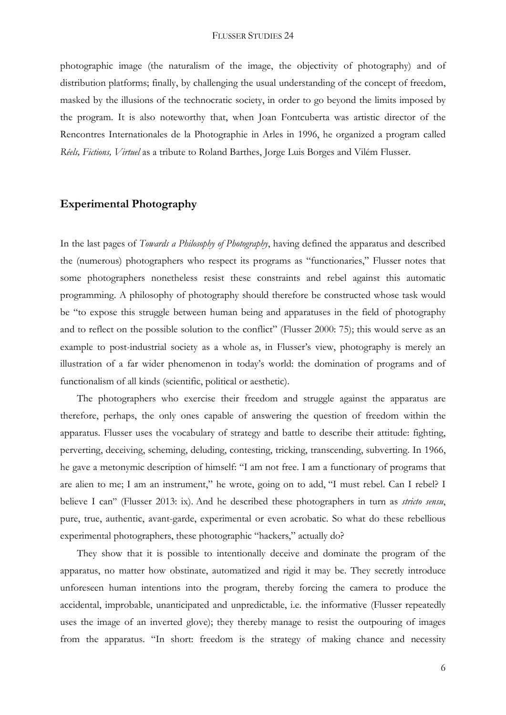photographic image (the naturalism of the image, the objectivity of photography) and of distribution platforms; finally, by challenging the usual understanding of the concept of freedom, masked by the illusions of the technocratic society, in order to go beyond the limits imposed by the program. It is also noteworthy that, when Joan Fontcuberta was artistic director of the Rencontres Internationales de la Photographie in Arles in 1996, he organized a program called *Réels, Fictions, Virtuel* as a tribute to Roland Barthes, Jorge Luis Borges and Vilém Flusser.

## **Experimental Photography**

In the last pages of *Towards a Philosophy of Photography*, having defined the apparatus and described the (numerous) photographers who respect its programs as "functionaries," Flusser notes that some photographers nonetheless resist these constraints and rebel against this automatic programming. A philosophy of photography should therefore be constructed whose task would be "to expose this struggle between human being and apparatuses in the field of photography and to reflect on the possible solution to the conflict" (Flusser 2000: 75); this would serve as an example to post-industrial society as a whole as, in Flusser's view, photography is merely an illustration of a far wider phenomenon in today's world: the domination of programs and of functionalism of all kinds (scientific, political or aesthetic).

The photographers who exercise their freedom and struggle against the apparatus are therefore, perhaps, the only ones capable of answering the question of freedom within the apparatus. Flusser uses the vocabulary of strategy and battle to describe their attitude: fighting, perverting, deceiving, scheming, deluding, contesting, tricking, transcending, subverting. In 1966, he gave a metonymic description of himself: "I am not free. I am a functionary of programs that are alien to me; I am an instrument," he wrote, going on to add, "I must rebel. Can I rebel? I believe I can" (Flusser 2013: ix). And he described these photographers in turn as *stricto sensu*, pure, true, authentic, avant-garde, experimental or even acrobatic. So what do these rebellious experimental photographers, these photographic "hackers," actually do?

They show that it is possible to intentionally deceive and dominate the program of the apparatus, no matter how obstinate, automatized and rigid it may be. They secretly introduce unforeseen human intentions into the program, thereby forcing the camera to produce the accidental, improbable, unanticipated and unpredictable, i.e. the informative (Flusser repeatedly uses the image of an inverted glove); they thereby manage to resist the outpouring of images from the apparatus. "In short: freedom is the strategy of making chance and necessity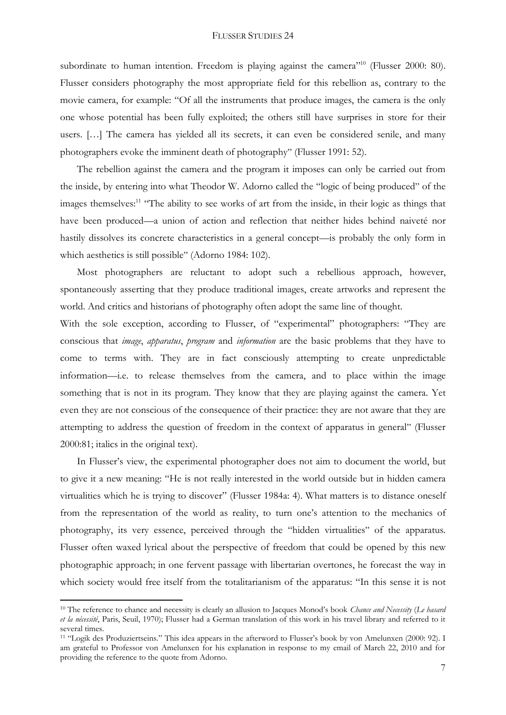subordinate to human intention. Freedom is playing against the camera<sup>"10</sup> (Flusser 2000: 80). Flusser considers photography the most appropriate field for this rebellion as, contrary to the movie camera, for example: "Of all the instruments that produce images, the camera is the only one whose potential has been fully exploited; the others still have surprises in store for their users. […] The camera has yielded all its secrets, it can even be considered senile, and many photographers evoke the imminent death of photography" (Flusser 1991: 52).

The rebellion against the camera and the program it imposes can only be carried out from the inside, by entering into what Theodor W. Adorno called the "logic of being produced" of the images themselves:<sup>11</sup> "The ability to see works of art from the inside, in their logic as things that have been produced—a union of action and reflection that neither hides behind naiveté nor hastily dissolves its concrete characteristics in a general concept—is probably the only form in which aesthetics is still possible" (Adorno 1984: 102).

Most photographers are reluctant to adopt such a rebellious approach, however, spontaneously asserting that they produce traditional images, create artworks and represent the world. And critics and historians of photography often adopt the same line of thought.

With the sole exception, according to Flusser, of "experimental" photographers: "They are conscious that *image*, *apparatus*, *program* and *information* are the basic problems that they have to come to terms with. They are in fact consciously attempting to create unpredictable information—i.e. to release themselves from the camera, and to place within the image something that is not in its program. They know that they are playing against the camera. Yet even they are not conscious of the consequence of their practice: they are not aware that they are attempting to address the question of freedom in the context of apparatus in general" (Flusser 2000:81; italics in the original text).

In Flusser's view, the experimental photographer does not aim to document the world, but to give it a new meaning: "He is not really interested in the world outside but in hidden camera virtualities which he is trying to discover" (Flusser 1984a: 4). What matters is to distance oneself from the representation of the world as reality, to turn one's attention to the mechanics of photography, its very essence, perceived through the "hidden virtualities" of the apparatus. Flusser often waxed lyrical about the perspective of freedom that could be opened by this new photographic approach; in one fervent passage with libertarian overtones, he forecast the way in which society would free itself from the totalitarianism of the apparatus: "In this sense it is not

**.** 

<sup>10</sup> The reference to chance and necessity is clearly an allusion to Jacques Monod's book *Chance and Necessity* (*Le hasard et la nécessité*, Paris, Seuil, 1970); Flusser had a German translation of this work in his travel library and referred to it several times.

<sup>11</sup> "Logik des Produziertseins." This idea appears in the afterword to Flusser's book by von Amelunxen (2000: 92). I am grateful to Professor von Amelunxen for his explanation in response to my email of March 22, 2010 and for providing the reference to the quote from Adorno.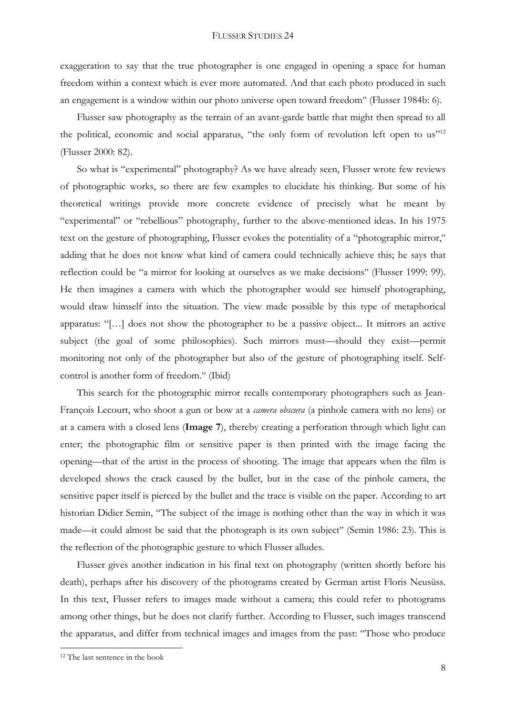exaggeration to say that the true photographer is one engaged in opening a space for human freedom within a context which is ever more automated. And that each photo produced in such an engagement is a window within our photo universe open toward freedom" (Flusser 1984b: 6).

Flusser saw photography as the terrain of an avant-garde battle that might then spread to all the political, economic and social apparatus, "the only form of revolution left open to us"<sup>12</sup> (Flusser 2000: 82).

So what is "experimental" photography? As we have already seen, Flusser wrote few reviews of photographic works, so there are few examples to elucidate his thinking. But some of his theoretical writings provide more concrete evidence of precisely what he meant by "experimental" or "rebellious" photography, further to the above-mentioned ideas. In his 1975 text on the gesture of photographing, Flusser evokes the potentiality of a "photographic mirror," adding that he does not know what kind of camera could technically achieve this; he says that reflection could be "a mirror for looking at ourselves as we make decisions" (Flusser 1999: 99). He then imagines a camera with which the photographer would see himself photographing, would draw himself into the situation. The view made possible by this type of metaphorical apparatus: "[…] does not show the photographer to be a passive object... It mirrors an active subject (the goal of some philosophies). Such mirrors must—should they exist—permit monitoring not only of the photographer but also of the gesture of photographing itself. Selfcontrol is another form of freedom." (Ibid)

This search for the photographic mirror recalls contemporary photographers such as Jean-François Lecourt, who shoot a gun or bow at a *camera obscura* (a pinhole camera with no lens) or at a camera with a closed lens (**Image 7**), thereby creating a perforation through which light can enter; the photographic film or sensitive paper is then printed with the image facing the opening—that of the artist in the process of shooting. The image that appears when the film is developed shows the crack caused by the bullet, but in the case of the pinhole camera, the sensitive paper itself is pierced by the bullet and the trace is visible on the paper. According to art historian Didier Semin, "The subject of the image is nothing other than the way in which it was made—it could almost be said that the photograph is its own subject" (Semin 1986: 23). This is the reflection of the photographic gesture to which Flusser alludes.

Flusser gives another indication in his final text on photography (written shortly before his death), perhaps after his discovery of the photograms created by German artist Floris Neusüss. In this text, Flusser refers to images made without a camera; this could refer to photograms among other things, but he does not clarify further. According to Flusser, such images transcend the apparatus, and differ from technical images and images from the past: "Those who produce

<sup>12</sup> The last sentence in the book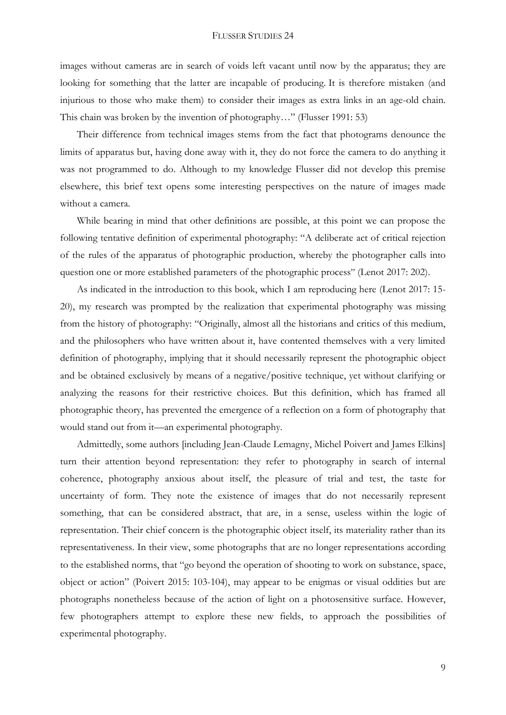images without cameras are in search of voids left vacant until now by the apparatus; they are looking for something that the latter are incapable of producing. It is therefore mistaken (and injurious to those who make them) to consider their images as extra links in an age-old chain. This chain was broken by the invention of photography…" (Flusser 1991: 53)

Their difference from technical images stems from the fact that photograms denounce the limits of apparatus but, having done away with it, they do not force the camera to do anything it was not programmed to do. Although to my knowledge Flusser did not develop this premise elsewhere, this brief text opens some interesting perspectives on the nature of images made without a camera.

While bearing in mind that other definitions are possible, at this point we can propose the following tentative definition of experimental photography: "A deliberate act of critical rejection of the rules of the apparatus of photographic production, whereby the photographer calls into question one or more established parameters of the photographic process" (Lenot 2017: 202).

As indicated in the introduction to this book, which I am reproducing here (Lenot 2017: 15- 20), my research was prompted by the realization that experimental photography was missing from the history of photography: "Originally, almost all the historians and critics of this medium, and the philosophers who have written about it, have contented themselves with a very limited definition of photography, implying that it should necessarily represent the photographic object and be obtained exclusively by means of a negative/positive technique, yet without clarifying or analyzing the reasons for their restrictive choices. But this definition, which has framed all photographic theory, has prevented the emergence of a reflection on a form of photography that would stand out from it—an experimental photography.

Admittedly, some authors [including Jean-Claude Lemagny, Michel Poivert and James Elkins] turn their attention beyond representation: they refer to photography in search of internal coherence, photography anxious about itself, the pleasure of trial and test, the taste for uncertainty of form. They note the existence of images that do not necessarily represent something, that can be considered abstract, that are, in a sense, useless within the logic of representation. Their chief concern is the photographic object itself, its materiality rather than its representativeness. In their view, some photographs that are no longer representations according to the established norms, that "go beyond the operation of shooting to work on substance, space, object or action" (Poivert 2015: 103-104), may appear to be enigmas or visual oddities but are photographs nonetheless because of the action of light on a photosensitive surface. However, few photographers attempt to explore these new fields, to approach the possibilities of experimental photography.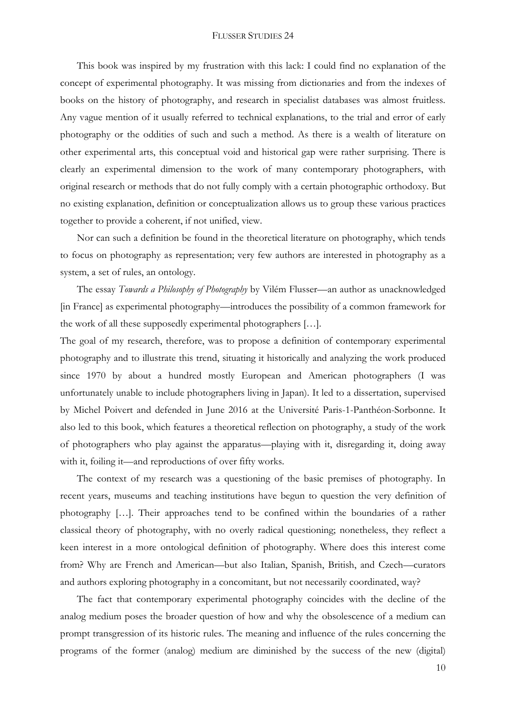This book was inspired by my frustration with this lack: I could find no explanation of the concept of experimental photography. It was missing from dictionaries and from the indexes of books on the history of photography, and research in specialist databases was almost fruitless. Any vague mention of it usually referred to technical explanations, to the trial and error of early photography or the oddities of such and such a method. As there is a wealth of literature on other experimental arts, this conceptual void and historical gap were rather surprising. There is clearly an experimental dimension to the work of many contemporary photographers, with original research or methods that do not fully comply with a certain photographic orthodoxy. But no existing explanation, definition or conceptualization allows us to group these various practices together to provide a coherent, if not unified, view.

Nor can such a definition be found in the theoretical literature on photography, which tends to focus on photography as representation; very few authors are interested in photography as a system, a set of rules, an ontology.

The essay *Towards a Philosophy of Photography* by Vilém Flusser—an author as unacknowledged [in France] as experimental photography—introduces the possibility of a common framework for the work of all these supposedly experimental photographers […].

The goal of my research, therefore, was to propose a definition of contemporary experimental photography and to illustrate this trend, situating it historically and analyzing the work produced since 1970 by about a hundred mostly European and American photographers (I was unfortunately unable to include photographers living in Japan). It led to a dissertation, supervised by Michel Poivert and defended in June 2016 at the Université Paris-1-Panthéon-Sorbonne. It also led to this book, which features a theoretical reflection on photography, a study of the work of photographers who play against the apparatus—playing with it, disregarding it, doing away with it, foiling it—and reproductions of over fifty works.

The context of my research was a questioning of the basic premises of photography. In recent years, museums and teaching institutions have begun to question the very definition of photography […]. Their approaches tend to be confined within the boundaries of a rather classical theory of photography, with no overly radical questioning; nonetheless, they reflect a keen interest in a more ontological definition of photography. Where does this interest come from? Why are French and American—but also Italian, Spanish, British, and Czech—curators and authors exploring photography in a concomitant, but not necessarily coordinated, way?

The fact that contemporary experimental photography coincides with the decline of the analog medium poses the broader question of how and why the obsolescence of a medium can prompt transgression of its historic rules. The meaning and influence of the rules concerning the programs of the former (analog) medium are diminished by the success of the new (digital)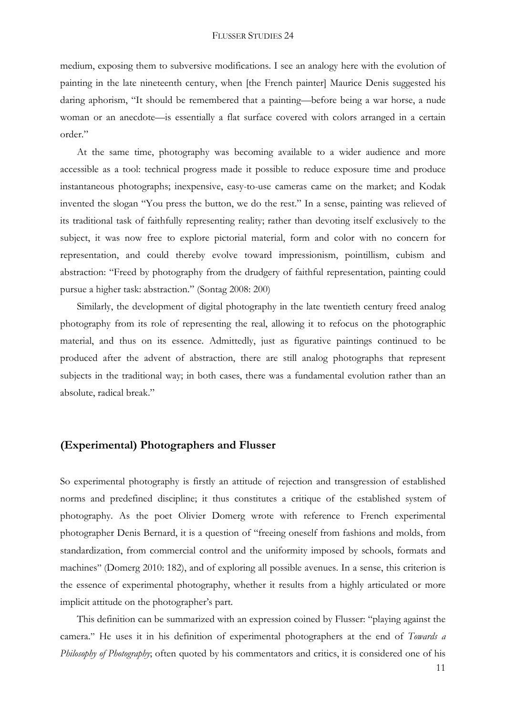medium, exposing them to subversive modifications. I see an analogy here with the evolution of painting in the late nineteenth century, when [the French painter] Maurice Denis suggested his daring aphorism, "It should be remembered that a painting—before being a war horse, a nude woman or an anecdote—is essentially a flat surface covered with colors arranged in a certain order."

At the same time, photography was becoming available to a wider audience and more accessible as a tool: technical progress made it possible to reduce exposure time and produce instantaneous photographs; inexpensive, easy-to-use cameras came on the market; and Kodak invented the slogan "You press the button, we do the rest." In a sense, painting was relieved of its traditional task of faithfully representing reality; rather than devoting itself exclusively to the subject, it was now free to explore pictorial material, form and color with no concern for representation, and could thereby evolve toward impressionism, pointillism, cubism and abstraction: "Freed by photography from the drudgery of faithful representation, painting could pursue a higher task: abstraction." (Sontag 2008: 200)

Similarly, the development of digital photography in the late twentieth century freed analog photography from its role of representing the real, allowing it to refocus on the photographic material, and thus on its essence. Admittedly, just as figurative paintings continued to be produced after the advent of abstraction, there are still analog photographs that represent subjects in the traditional way; in both cases, there was a fundamental evolution rather than an absolute, radical break."

## **(Experimental) Photographers and Flusser**

So experimental photography is firstly an attitude of rejection and transgression of established norms and predefined discipline; it thus constitutes a critique of the established system of photography. As the poet Olivier Domerg wrote with reference to French experimental photographer Denis Bernard, it is a question of "freeing oneself from fashions and molds, from standardization, from commercial control and the uniformity imposed by schools, formats and machines" (Domerg 2010: 182), and of exploring all possible avenues. In a sense, this criterion is the essence of experimental photography, whether it results from a highly articulated or more implicit attitude on the photographer's part.

This definition can be summarized with an expression coined by Flusser: "playing against the camera." He uses it in his definition of experimental photographers at the end of *Towards a Philosophy of Photography*; often quoted by his commentators and critics, it is considered one of his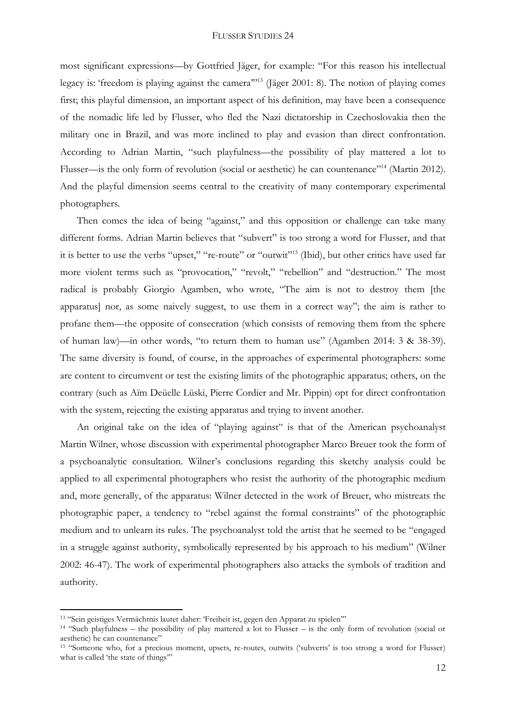most significant expressions—by Gottfried Jäger, for example: "For this reason his intellectual legacy is: 'freedom is playing against the camera''<sup>13</sup> (Jäger 2001: 8). The notion of playing comes first; this playful dimension, an important aspect of his definition, may have been a consequence of the nomadic life led by Flusser, who fled the Nazi dictatorship in Czechoslovakia then the military one in Brazil, and was more inclined to play and evasion than direct confrontation. According to Adrian Martin, "such playfulness—the possibility of play mattered a lot to Flusser—is the only form of revolution (social or aesthetic) he can countenance"<sup>14</sup> (Martin 2012). And the playful dimension seems central to the creativity of many contemporary experimental photographers.

Then comes the idea of being "against," and this opposition or challenge can take many different forms. Adrian Martin believes that "subvert" is too strong a word for Flusser, and that it is better to use the verbs "upset," "re-route" or "outwit" <sup>15</sup> (Ibid), but other critics have used far more violent terms such as "provocation," "revolt," "rebellion" and "destruction." The most radical is probably Giorgio Agamben, who wrote, "The aim is not to destroy them [the apparatus] nor, as some naively suggest, to use them in a correct way"; the aim is rather to profane them—the opposite of consecration (which consists of removing them from the sphere of human law)—in other words, "to return them to human use" (Agamben 2014: 3 & 38-39). The same diversity is found, of course, in the approaches of experimental photographers: some are content to circumvent or test the existing limits of the photographic apparatus; others, on the contrary (such as Aïm Deüelle Lüski, Pierre Cordier and Mr. Pippin) opt for direct confrontation with the system, rejecting the existing apparatus and trying to invent another.

An original take on the idea of "playing against" is that of the American psychoanalyst Martin Wilner, whose discussion with experimental photographer Marco Breuer took the form of a psychoanalytic consultation. Wilner's conclusions regarding this sketchy analysis could be applied to all experimental photographers who resist the authority of the photographic medium and, more generally, of the apparatus: Wilner detected in the work of Breuer, who mistreats the photographic paper, a tendency to "rebel against the formal constraints" of the photographic medium and to unlearn its rules. The psychoanalyst told the artist that he seemed to be "engaged in a struggle against authority, symbolically represented by his approach to his medium" (Wilner 2002: 46-47). The work of experimental photographers also attacks the symbols of tradition and authority.

<sup>13</sup> "Sein geistiges Vermächtnis lautet daher: 'Freiheit ist, gegen den Apparat zu spielen'"

<sup>14</sup> "Such playfulness – the possibility of play mattered a lot to Flusser – is the only form of revolution (social or aesthetic) he can countenance"

<sup>15</sup> "Someone who, for a precious moment, upsets, re-routes, outwits ('subverts' is too strong a word for Flusser) what is called 'the state of things"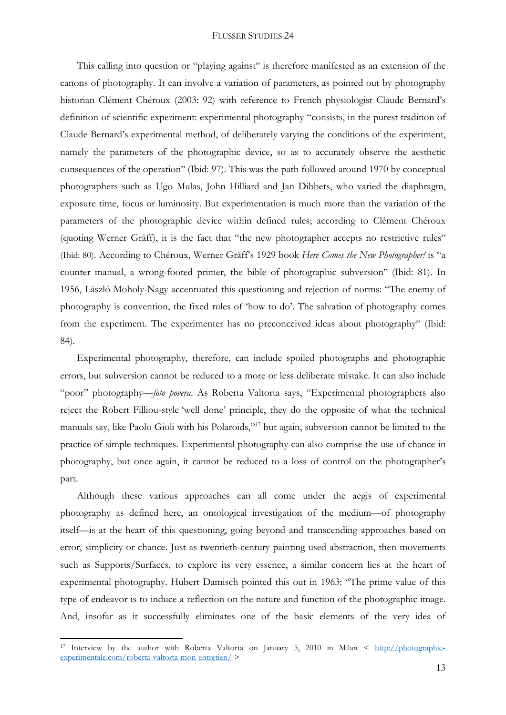This calling into question or "playing against" is therefore manifested as an extension of the canons of photography. It can involve a variation of parameters, as pointed out by photography historian Clément Chéroux (2003: 92) with reference to French physiologist Claude Bernard's definition of scientific experiment: experimental photography "consists, in the purest tradition of Claude Bernard's experimental method, of deliberately varying the conditions of the experiment, namely the parameters of the photographic device, so as to accurately observe the aesthetic consequences of the operation" (Ibid: 97). This was the path followed around 1970 by conceptual photographers such as Ugo Mulas, John Hilliard and Jan Dibbets, who varied the diaphragm, exposure time, focus or luminosity. But experimentation is much more than the variation of the parameters of the photographic device within defined rules; according to Clément Chéroux (quoting Werner Gräff), it is the fact that "the new photographer accepts no restrictive rules" (Ibid: 80). According to Chéroux, Werner Gräff's 1929 book *Here Comes the New Photographer!* is "a counter manual, a wrong-footed primer, the bible of photographic subversion" (Ibid: 81). In 1956, László Moholy-Nagy accentuated this questioning and rejection of norms: "The enemy of photography is convention, the fixed rules of 'how to do'. The salvation of photography comes from the experiment. The experimenter has no preconceived ideas about photography" (Ibid: 84).

Experimental photography, therefore, can include spoiled photographs and photographic errors, but subversion cannot be reduced to a more or less deliberate mistake. It can also include "poor" photography—*foto povera*. As Roberta Valtorta says, "Experimental photographers also reject the Robert Filliou-style 'well done' principle, they do the opposite of what the technical manuals say, like Paolo Gioli with his Polaroids," <sup>17</sup> but again, subversion cannot be limited to the practice of simple techniques. Experimental photography can also comprise the use of chance in photography, but once again, it cannot be reduced to a loss of control on the photographer's part.

Although these various approaches can all come under the aegis of experimental photography as defined here, an ontological investigation of the medium—of photography itself—is at the heart of this questioning, going beyond and transcending approaches based on error, simplicity or chance. Just as twentieth-century painting used abstraction, then movements such as Supports/Surfaces, to explore its very essence, a similar concern lies at the heart of experimental photography. Hubert Damisch pointed this out in 1963: "The prime value of this type of endeavor is to induce a reflection on the nature and function of the photographic image. And, insofar as it successfully eliminates one of the basic elements of the very idea of

**.** 

<sup>17</sup> Interview by the author with Roberta Valtorta on January 5, 2010 in Milan < [http://photographie](http://photographie-experimentale.com/roberta-valtorta-mon-entretien/)[experimentale.com/roberta-valtorta-mon-entretien/](http://photographie-experimentale.com/roberta-valtorta-mon-entretien/) >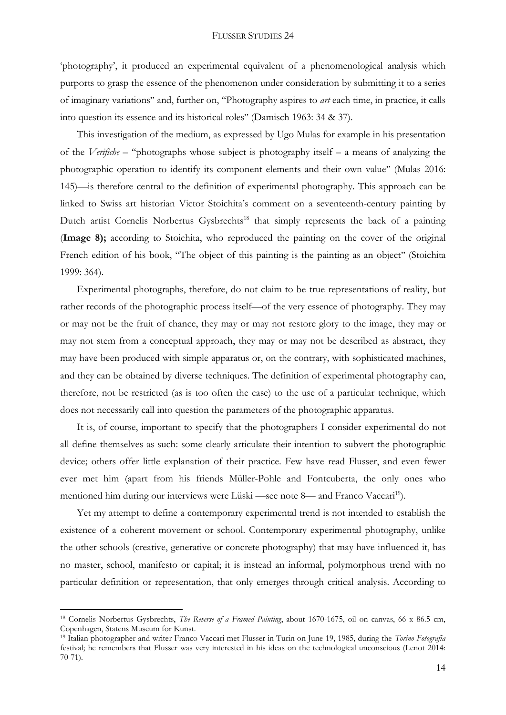'photography', it produced an experimental equivalent of a phenomenological analysis which purports to grasp the essence of the phenomenon under consideration by submitting it to a series of imaginary variations" and, further on, "Photography aspires to *art* each time, in practice, it calls into question its essence and its historical roles" (Damisch 1963: 34 & 37).

This investigation of the medium, as expressed by Ugo Mulas for example in his presentation of the *Verifiche* – "photographs whose subject is photography itself – a means of analyzing the photographic operation to identify its component elements and their own value" (Mulas 2016: 145)—is therefore central to the definition of experimental photography. This approach can be linked to Swiss art historian Victor Stoichita's comment on a seventeenth-century painting by Dutch artist Cornelis Norbertus Gysbrechts<sup>18</sup> that simply represents the back of a painting (**Image 8);** according to Stoichita, who reproduced the painting on the cover of the original French edition of his book, "The object of this painting is the painting as an object" (Stoichita 1999: 364).

Experimental photographs, therefore, do not claim to be true representations of reality, but rather records of the photographic process itself—of the very essence of photography. They may or may not be the fruit of chance, they may or may not restore glory to the image, they may or may not stem from a conceptual approach, they may or may not be described as abstract, they may have been produced with simple apparatus or, on the contrary, with sophisticated machines, and they can be obtained by diverse techniques. The definition of experimental photography can, therefore, not be restricted (as is too often the case) to the use of a particular technique, which does not necessarily call into question the parameters of the photographic apparatus.

It is, of course, important to specify that the photographers I consider experimental do not all define themselves as such: some clearly articulate their intention to subvert the photographic device; others offer little explanation of their practice. Few have read Flusser, and even fewer ever met him (apart from his friends Müller-Pohle and Fontcuberta, the only ones who mentioned him during our interviews were Lüski —see note 8— and Franco Vaccari<sup>19</sup>).

Yet my attempt to define a contemporary experimental trend is not intended to establish the existence of a coherent movement or school. Contemporary experimental photography, unlike the other schools (creative, generative or concrete photography) that may have influenced it, has no master, school, manifesto or capital; it is instead an informal, polymorphous trend with no particular definition or representation, that only emerges through critical analysis. According to

<sup>18</sup> Cornelis Norbertus Gysbrechts, *The Reverse of a Framed Painting*, about 1670-1675, oil on canvas, 66 x 86.5 cm, Copenhagen, Statens Museum for Kunst.

<sup>19</sup> Italian photographer and writer Franco Vaccari met Flusser in Turin on June 19, 1985, during the *Torino Fotografia* festival; he remembers that Flusser was very interested in his ideas on the technological unconscious (Lenot 2014: 70-71).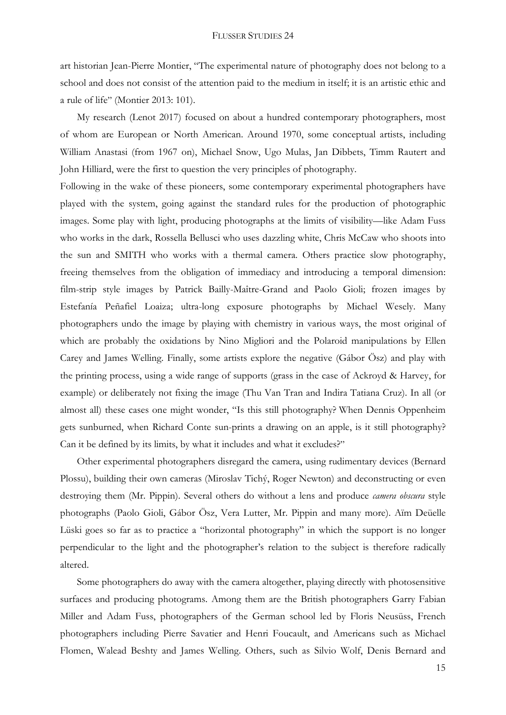art historian Jean-Pierre Montier, "The experimental nature of photography does not belong to a school and does not consist of the attention paid to the medium in itself; it is an artistic ethic and a rule of life" (Montier 2013: 101).

My research (Lenot 2017) focused on about a hundred contemporary photographers, most of whom are European or North American. Around 1970, some conceptual artists, including William Anastasi (from 1967 on), Michael Snow, Ugo Mulas, Jan Dibbets, Timm Rautert and John Hilliard, were the first to question the very principles of photography.

Following in the wake of these pioneers, some contemporary experimental photographers have played with the system, going against the standard rules for the production of photographic images. Some play with light, producing photographs at the limits of visibility—like Adam Fuss who works in the dark, Rossella Bellusci who uses dazzling white, Chris McCaw who shoots into the sun and SMITH who works with a thermal camera. Others practice slow photography, freeing themselves from the obligation of immediacy and introducing a temporal dimension: film-strip style images by Patrick Bailly-Maître-Grand and Paolo Gioli; frozen images by Estefanía Peñafiel Loaiza; ultra-long exposure photographs by Michael Wesely. Many photographers undo the image by playing with chemistry in various ways, the most original of which are probably the oxidations by Nino Migliori and the Polaroid manipulations by Ellen Carey and James Welling. Finally, some artists explore the negative (Gábor Ösz) and play with the printing process, using a wide range of supports (grass in the case of Ackroyd & Harvey, for example) or deliberately not fixing the image (Thu Van Tran and Indira Tatiana Cruz). In all (or almost all) these cases one might wonder, "Is this still photography? When Dennis Oppenheim gets sunburned, when Richard Conte sun-prints a drawing on an apple, is it still photography? Can it be defined by its limits, by what it includes and what it excludes?"

Other experimental photographers disregard the camera, using rudimentary devices (Bernard Plossu), building their own cameras (Miroslav Tichý, Roger Newton) and deconstructing or even destroying them (Mr. Pippin). Several others do without a lens and produce *camera obscura* style photographs (Paolo Gioli, Gábor Ösz, Vera Lutter, Mr. Pippin and many more). Aïm Deüelle Lüski goes so far as to practice a "horizontal photography" in which the support is no longer perpendicular to the light and the photographer's relation to the subject is therefore radically altered.

Some photographers do away with the camera altogether, playing directly with photosensitive surfaces and producing photograms. Among them are the British photographers Garry Fabian Miller and Adam Fuss, photographers of the German school led by Floris Neusüss, French photographers including Pierre Savatier and Henri Foucault, and Americans such as Michael Flomen, Walead Beshty and James Welling. Others, such as Silvio Wolf, Denis Bernard and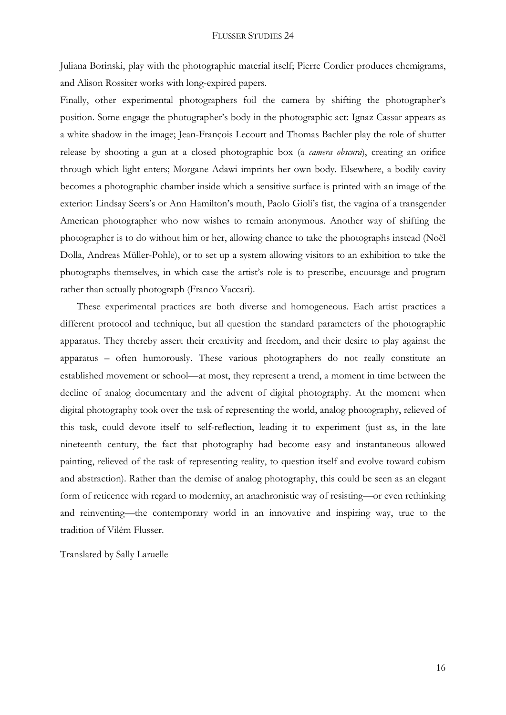Juliana Borinski, play with the photographic material itself; Pierre Cordier produces chemigrams, and Alison Rossiter works with long-expired papers.

Finally, other experimental photographers foil the camera by shifting the photographer's position. Some engage the photographer's body in the photographic act: Ignaz Cassar appears as a white shadow in the image; Jean-François Lecourt and Thomas Bachler play the role of shutter release by shooting a gun at a closed photographic box (a *camera obscura*), creating an orifice through which light enters; Morgane Adawi imprints her own body. Elsewhere, a bodily cavity becomes a photographic chamber inside which a sensitive surface is printed with an image of the exterior: Lindsay Seers's or Ann Hamilton's mouth, Paolo Gioli's fist, the vagina of a transgender American photographer who now wishes to remain anonymous. Another way of shifting the photographer is to do without him or her, allowing chance to take the photographs instead (Noël Dolla, Andreas Müller-Pohle), or to set up a system allowing visitors to an exhibition to take the photographs themselves, in which case the artist's role is to prescribe, encourage and program rather than actually photograph (Franco Vaccari).

These experimental practices are both diverse and homogeneous. Each artist practices a different protocol and technique, but all question the standard parameters of the photographic apparatus. They thereby assert their creativity and freedom, and their desire to play against the apparatus – often humorously. These various photographers do not really constitute an established movement or school—at most, they represent a trend, a moment in time between the decline of analog documentary and the advent of digital photography. At the moment when digital photography took over the task of representing the world, analog photography, relieved of this task, could devote itself to self-reflection, leading it to experiment (just as, in the late nineteenth century, the fact that photography had become easy and instantaneous allowed painting, relieved of the task of representing reality, to question itself and evolve toward cubism and abstraction). Rather than the demise of analog photography, this could be seen as an elegant form of reticence with regard to modernity, an anachronistic way of resisting—or even rethinking and reinventing—the contemporary world in an innovative and inspiring way, true to the tradition of Vilém Flusser.

Translated by Sally Laruelle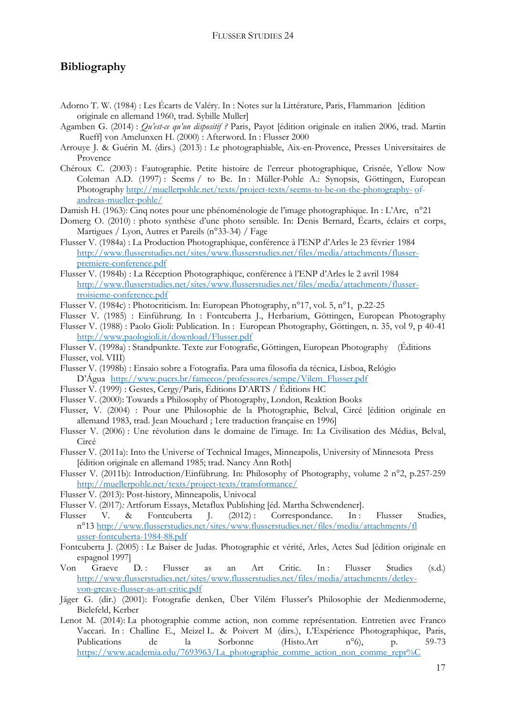### **Bibliography**

- Adorno T. W. (1984) : Les Écarts de Valéry. In : Notes sur la Littérature, Paris, Flammarion [édition originale en allemand 1960, trad. Sybille Muller]
- Agamben G. (2014) : *Qu'est-ce qu'un dispositif ?* Paris, Payot [édition originale en italien 2006, trad. Martin Rueff] von Amelunxen H. (2000) : Afterword. In : Flusser 2000
- Arrouye J. & Guérin M. (dirs.) (2013) : Le photographiable, Aix-en-Provence, Presses Universitaires de Provence
- Chéroux C. (2003) : Fautographie. Petite histoire de l'erreur photographique, Crisnée, Yellow Now Coleman A.D. (1997) : Seems / to Be. In : Müller-Pohle A.: Synopsis, Göttingen, European Photography [http://muellerpohle.net/texts/project-texts/seems-to-be-on-the-photography-](http://muellerpohle.net/texts/project-texts/seems-to-be-on-the-photography-%09of-andreas-mueller-pohle/) of[andreas-mueller-pohle/](http://muellerpohle.net/texts/project-texts/seems-to-be-on-the-photography-%09of-andreas-mueller-pohle/)
- Damish H. (1963): Cinq notes pour une phénoménologie de l'image photographique. In : L'Arc, n°21
- Domerg O. (2010) : photo synthèse d'une photo sensible. In: Denis Bernard, Écarts, éclairs et corps, Martigues / Lyon, Autres et Pareils (n°33-34) / Fage
- Flusser V. (1984a) : La Production Photographique, conférence à l'ENP d'Arles le 23 février 1984 [http://www.flusserstudies.net/sites/www.flusserstudies.net/files/media/attachments/flusser](http://www.flusserstudies.net/sites/www.flusserstudies.net/files/media/attachments/flusser-%09premiere-conference.pdf)[premiere-conference.pdf](http://www.flusserstudies.net/sites/www.flusserstudies.net/files/media/attachments/flusser-%09premiere-conference.pdf)
- Flusser V. (1984b) : La Réception Photographique, conférence à l'ENP d'Arles le 2 avril 1984 [http://www.flusserstudies.net/sites/www.flusserstudies.net/files/media/attachments/flusser](http://www.flusserstudies.net/sites/www.flusserstudies.net/files/media/attachments/flusser-%09troisieme-conference.pdf)[troisieme-conference.pdf](http://www.flusserstudies.net/sites/www.flusserstudies.net/files/media/attachments/flusser-%09troisieme-conference.pdf)
- Flusser V. (1984c) : Photocriticism. In: European Photography, n°17, vol. 5, n°1, p.22-25
- Flusser V. (1985) : Einführung. In : Fontcuberta J., Herbarium, Göttingen, European Photography
- Flusser V. (1988) : Paolo Gioli: Publication. In : European Photography, Göttingen, n. 35, vol 9, p 40-41 <http://www.paologioli.it/download/Flusser.pdf>
- Flusser V. (1998a) : Standpunkte. Texte zur Fotografie, Göttingen, European Photography (Éditions Flusser, vol. VIII)
- Flusser V. (1998b) : Ensaio sobre a Fotografia. Para uma filosofia da técnica, Lisboa, Relógio D'Água [http://www.pucrs.br/famecos/professores/sempe/Vilem\\_Flusser.pdf](http://www.pucrs.br/famecos/professores/sempe/Vilem_Flusser.pdf)
- Flusser V. (1999) : Gestes, Cergy/Paris, Éditions D'ARTS / Éditions HC
- Flusser V. (2000): Towards a Philosophy of Photography, London, Reaktion Books
- Flusser, V. (2004) : Pour une Philosophie de la Photographie, Belval, Circé [édition originale en allemand 1983, trad. Jean Mouchard ; 1ere traduction française en 1996]
- Flusser V. (2006) : Une révolution dans le domaine de l'image. In: La Civilisation des Médias, Belval, Circé
- Flusser V. (2011a): Into the Universe of Technical Images, Minneapolis, University of Minnesota Press [édition originale en allemand 1985; trad. Nancy Ann Roth]
- Flusser V. (2011b): Introduction/Einführung. In: Philosophy of Photography, volume 2 n°2, p.257-259 <http://muellerpohle.net/texts/project-texts/transformance/>
- Flusser V. (2013): Post-history, Minneapolis, Univocal
- Flusser V. (2017)*:* Artforum Essays, Metaflux Publishing [éd. Martha Schwendener].
- Flusser V. & Fontcuberta J. (2012): Correspondance. In: Flusser Studies, n°13 [http://www.flusserstudies.net/sites/www.flusserstudies.net/files/media/attachments/fl](http://www.flusserstudies.net/sites/www.flusserstudies.net/files/media/attachments/fl%09usser-fontcuberta-1984-88.pdf) [usser-fontcuberta-1984-88.pdf](http://www.flusserstudies.net/sites/www.flusserstudies.net/files/media/attachments/fl%09usser-fontcuberta-1984-88.pdf)
- Fontcuberta J. (2005) : Le Baiser de Judas. Photographie et vérité, Arles, Actes Sud [édition originale en espagnol 1997]
- Von Graeve D.: Flusser as an Art Critic. In: Flusser Studies (s.d.) [http://www.flusserstudies.net/sites/www.flusserstudies.net/files/media/attachments/detlev](http://www.flusserstudies.net/sites/www.flusserstudies.net/files/media/attachments/detlev-%09von-greave-flusser-as-art-critic.pdf)[von-greave-flusser-as-art-critic.pdf](http://www.flusserstudies.net/sites/www.flusserstudies.net/files/media/attachments/detlev-%09von-greave-flusser-as-art-critic.pdf)
- Jäger G. (dir.) (2001): Fotografie denken, Über Vilém Flusser's Philosophie der Medienmoderne, Bielefeld, Kerber
- Lenot M. (2014): La photographie comme action, non comme représentation. Entretien avec Franco Vaccari. In : Challine E., Meizel L. & Poivert M (dirs.), L'Expérience Photographique, Paris, Publications de la Sorbonne (Histo.Art n°6), p. 59-73 [https://www.academia.edu/7693963/La\\_photographie\\_comme\\_action\\_non\\_comme\\_repr%C](https://www.academia.edu/7693963/La_photographie_comme_action_non_comme_repr%25C%093%A9sentation_entretien_avec_Franco_Vaccari)